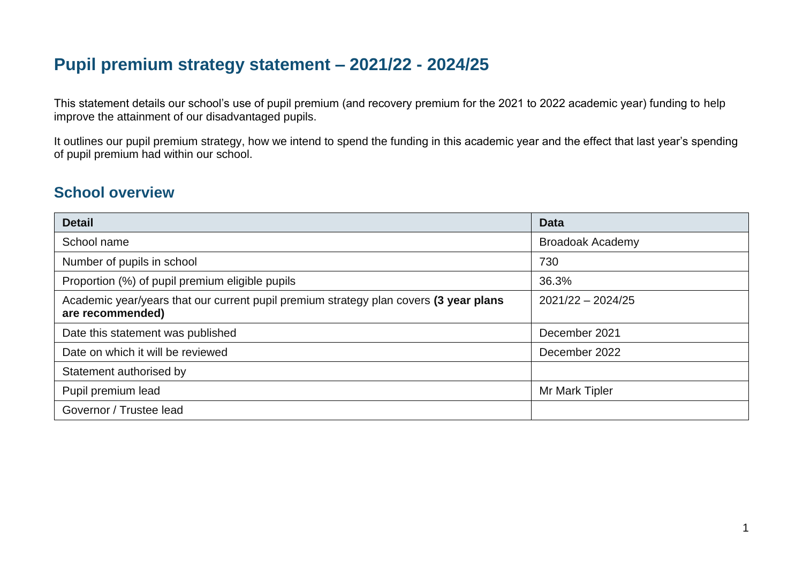# **Pupil premium strategy statement – 2021/22 - 2024/25**

This statement details our school's use of pupil premium (and recovery premium for the 2021 to 2022 academic year) funding to help improve the attainment of our disadvantaged pupils.

It outlines our pupil premium strategy, how we intend to spend the funding in this academic year and the effect that last year's spending of pupil premium had within our school.

## **School overview**

| <b>Detail</b>                                                                                             | <b>Data</b>             |
|-----------------------------------------------------------------------------------------------------------|-------------------------|
| School name                                                                                               | <b>Broadoak Academy</b> |
| Number of pupils in school                                                                                | 730                     |
| Proportion (%) of pupil premium eligible pupils                                                           | 36.3%                   |
| Academic year/years that our current pupil premium strategy plan covers (3 year plans<br>are recommended) | $2021/22 - 2024/25$     |
| Date this statement was published                                                                         | December 2021           |
| Date on which it will be reviewed                                                                         | December 2022           |
| Statement authorised by                                                                                   |                         |
| Pupil premium lead                                                                                        | Mr Mark Tipler          |
| Governor / Trustee lead                                                                                   |                         |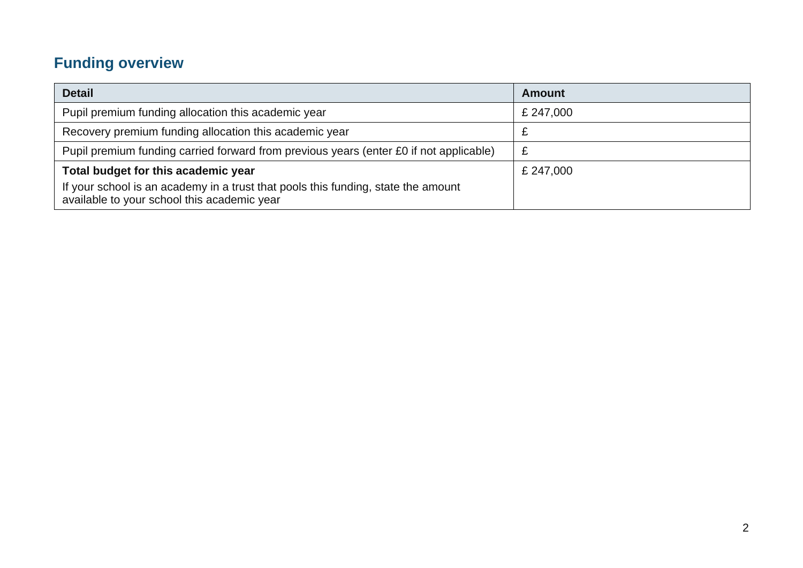# **Funding overview**

| <b>Detail</b>                                                                                                                    | <b>Amount</b> |
|----------------------------------------------------------------------------------------------------------------------------------|---------------|
| Pupil premium funding allocation this academic year                                                                              | £ 247,000     |
| Recovery premium funding allocation this academic year                                                                           |               |
| Pupil premium funding carried forward from previous years (enter £0 if not applicable)                                           | £             |
| Total budget for this academic year                                                                                              | £ 247,000     |
| If your school is an academy in a trust that pools this funding, state the amount<br>available to your school this academic year |               |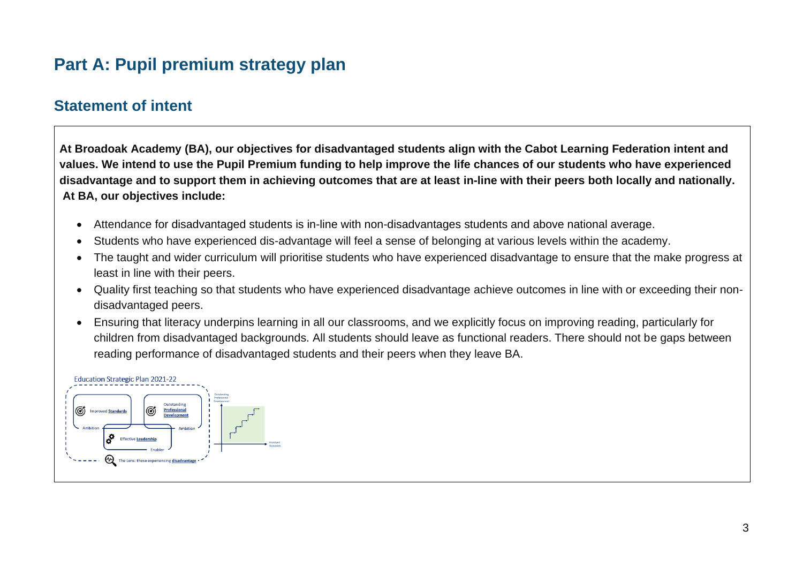# **Part A: Pupil premium strategy plan**

### **Statement of intent**

**At Broadoak Academy (BA), our objectives for disadvantaged students align with the Cabot Learning Federation intent and values. We intend to use the Pupil Premium funding to help improve the life chances of our students who have experienced disadvantage and to support them in achieving outcomes that are at least in-line with their peers both locally and nationally. At BA, our objectives include:** 

- Attendance for disadvantaged students is in-line with non-disadvantages students and above national average.
- Students who have experienced dis-advantage will feel a sense of belonging at various levels within the academy.
- The taught and wider curriculum will prioritise students who have experienced disadvantage to ensure that the make progress at least in line with their peers.
- Quality first teaching so that students who have experienced disadvantage achieve outcomes in line with or exceeding their nondisadvantaged peers.
- Ensuring that literacy underpins learning in all our classrooms, and we explicitly focus on improving reading, particularly for children from disadvantaged backgrounds. All students should leave as functional readers. There should not be gaps between reading performance of disadvantaged students and their peers when they leave BA.

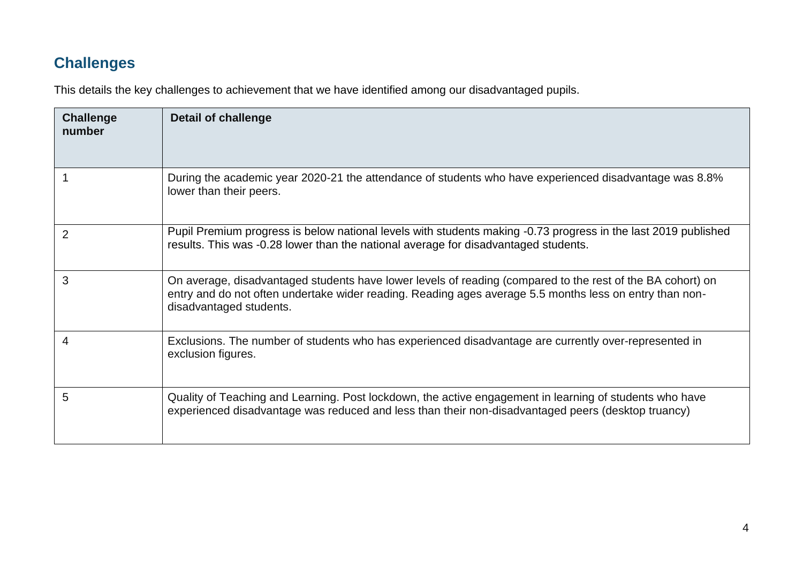# **Challenges**

This details the key challenges to achievement that we have identified among our disadvantaged pupils.

| <b>Challenge</b><br>number | <b>Detail of challenge</b>                                                                                                                                                                                                                       |
|----------------------------|--------------------------------------------------------------------------------------------------------------------------------------------------------------------------------------------------------------------------------------------------|
|                            | During the academic year 2020-21 the attendance of students who have experienced disadvantage was 8.8%<br>lower than their peers.                                                                                                                |
| 2                          | Pupil Premium progress is below national levels with students making -0.73 progress in the last 2019 published<br>results. This was -0.28 lower than the national average for disadvantaged students.                                            |
| 3                          | On average, disadvantaged students have lower levels of reading (compared to the rest of the BA cohort) on<br>entry and do not often undertake wider reading. Reading ages average 5.5 months less on entry than non-<br>disadvantaged students. |
|                            | Exclusions. The number of students who has experienced disadvantage are currently over-represented in<br>exclusion figures.                                                                                                                      |
| 5                          | Quality of Teaching and Learning. Post lockdown, the active engagement in learning of students who have<br>experienced disadvantage was reduced and less than their non-disadvantaged peers (desktop truancy)                                    |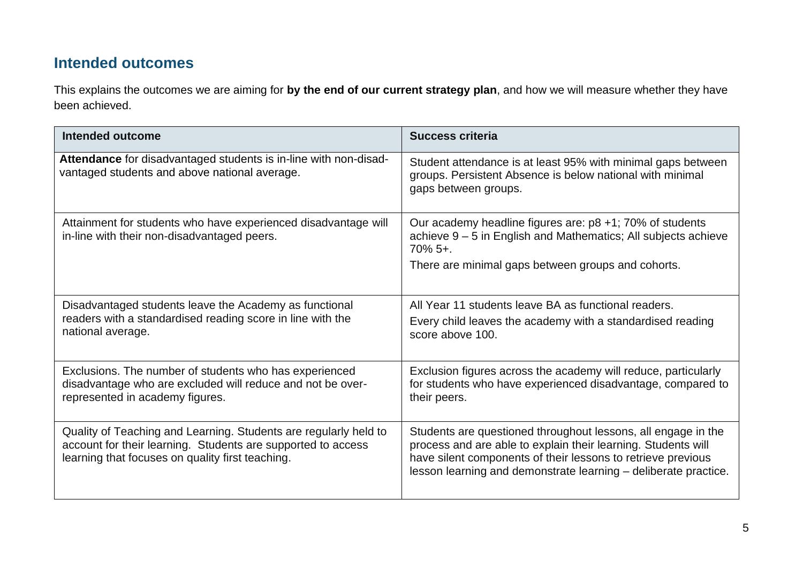## **Intended outcomes**

This explains the outcomes we are aiming for **by the end of our current strategy plan**, and how we will measure whether they have been achieved.

| Intended outcome                                                                                                                                                                     | <b>Success criteria</b>                                                                                                                                                                                                                                           |
|--------------------------------------------------------------------------------------------------------------------------------------------------------------------------------------|-------------------------------------------------------------------------------------------------------------------------------------------------------------------------------------------------------------------------------------------------------------------|
| Attendance for disadvantaged students is in-line with non-disad-<br>vantaged students and above national average.                                                                    | Student attendance is at least 95% with minimal gaps between<br>groups. Persistent Absence is below national with minimal<br>gaps between groups.                                                                                                                 |
| Attainment for students who have experienced disadvantage will<br>in-line with their non-disadvantaged peers.                                                                        | Our academy headline figures are: $p8 + 1$ ; 70% of students<br>achieve 9 – 5 in English and Mathematics; All subjects achieve<br>$70\%$ 5+.<br>There are minimal gaps between groups and cohorts.                                                                |
| Disadvantaged students leave the Academy as functional<br>readers with a standardised reading score in line with the<br>national average.                                            | All Year 11 students leave BA as functional readers.<br>Every child leaves the academy with a standardised reading<br>score above 100.                                                                                                                            |
| Exclusions. The number of students who has experienced<br>disadvantage who are excluded will reduce and not be over-<br>represented in academy figures.                              | Exclusion figures across the academy will reduce, particularly<br>for students who have experienced disadvantage, compared to<br>their peers.                                                                                                                     |
| Quality of Teaching and Learning. Students are regularly held to<br>account for their learning. Students are supported to access<br>learning that focuses on quality first teaching. | Students are questioned throughout lessons, all engage in the<br>process and are able to explain their learning. Students will<br>have silent components of their lessons to retrieve previous<br>lesson learning and demonstrate learning - deliberate practice. |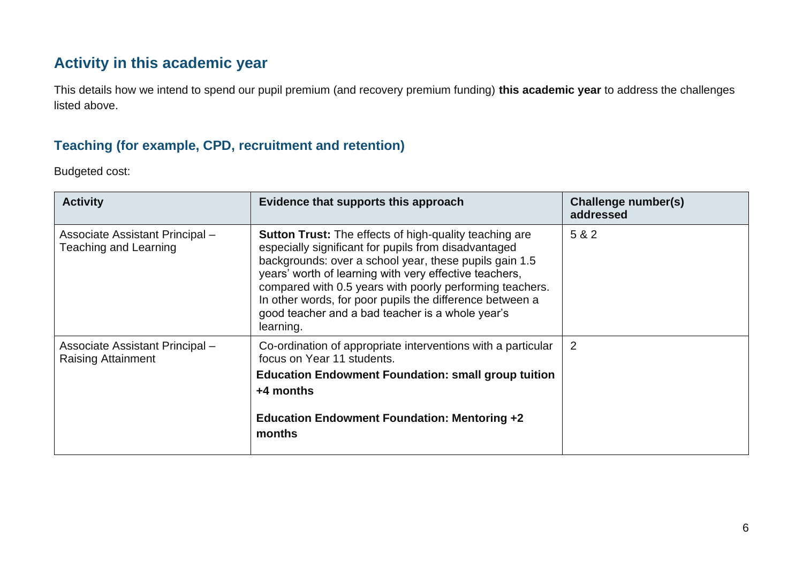## **Activity in this academic year**

This details how we intend to spend our pupil premium (and recovery premium funding) **this academic year** to address the challenges listed above.

#### **Teaching (for example, CPD, recruitment and retention)**

Budgeted cost:

| <b>Activity</b>                                              | Evidence that supports this approach                                                                                                                                                                                                                                                                                                                                                                                               | Challenge number(s)<br>addressed |
|--------------------------------------------------------------|------------------------------------------------------------------------------------------------------------------------------------------------------------------------------------------------------------------------------------------------------------------------------------------------------------------------------------------------------------------------------------------------------------------------------------|----------------------------------|
| Associate Assistant Principal -<br>Teaching and Learning     | <b>Sutton Trust:</b> The effects of high-quality teaching are<br>especially significant for pupils from disadvantaged<br>backgrounds: over a school year, these pupils gain 1.5<br>years' worth of learning with very effective teachers,<br>compared with 0.5 years with poorly performing teachers.<br>In other words, for poor pupils the difference between a<br>good teacher and a bad teacher is a whole year's<br>learning. | 5 & 2                            |
| Associate Assistant Principal -<br><b>Raising Attainment</b> | Co-ordination of appropriate interventions with a particular<br>focus on Year 11 students.<br><b>Education Endowment Foundation: small group tuition</b><br>$+4$ months<br><b>Education Endowment Foundation: Mentoring +2</b><br>months                                                                                                                                                                                           | 2                                |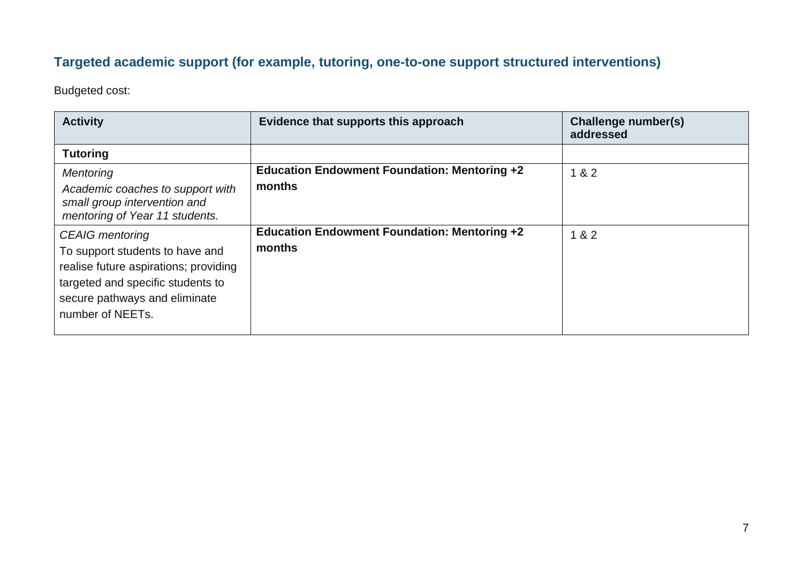## **Targeted academic support (for example, tutoring, one-to-one support structured interventions)**

Budgeted cost:

| <b>Activity</b>                                                                                                                                                                              | Evidence that supports this approach                          | Challenge number(s)<br>addressed |
|----------------------------------------------------------------------------------------------------------------------------------------------------------------------------------------------|---------------------------------------------------------------|----------------------------------|
| <b>Tutoring</b>                                                                                                                                                                              |                                                               |                                  |
| Mentoring<br>Academic coaches to support with<br>small group intervention and<br>mentoring of Year 11 students.                                                                              | <b>Education Endowment Foundation: Mentoring +2</b><br>months | 1 & 2                            |
| <b>CEAIG</b> mentoring<br>To support students to have and<br>realise future aspirations; providing<br>targeted and specific students to<br>secure pathways and eliminate<br>number of NEETs. | <b>Education Endowment Foundation: Mentoring +2</b><br>months | 1 & 82                           |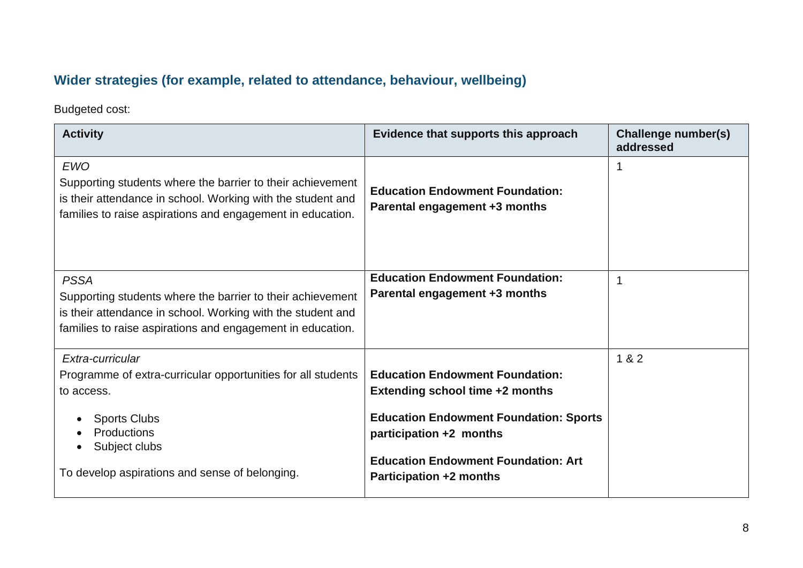## **Wider strategies (for example, related to attendance, behaviour, wellbeing)**

Budgeted cost:

| <b>Activity</b>                                                                                                                                                                                         | Evidence that supports this approach                                                                                                                                                                                                         | <b>Challenge number(s)</b><br>addressed |
|---------------------------------------------------------------------------------------------------------------------------------------------------------------------------------------------------------|----------------------------------------------------------------------------------------------------------------------------------------------------------------------------------------------------------------------------------------------|-----------------------------------------|
| <b>EWO</b><br>Supporting students where the barrier to their achievement<br>is their attendance in school. Working with the student and<br>families to raise aspirations and engagement in education.   | <b>Education Endowment Foundation:</b><br>Parental engagement +3 months                                                                                                                                                                      |                                         |
| <b>PSSA</b><br>Supporting students where the barrier to their achievement<br>is their attendance in school. Working with the student and<br>families to raise aspirations and engagement in education.  | <b>Education Endowment Foundation:</b><br>Parental engagement +3 months                                                                                                                                                                      | $\mathbf 1$                             |
| Extra-curricular<br>Programme of extra-curricular opportunities for all students<br>to access.<br><b>Sports Clubs</b><br>Productions<br>Subject clubs<br>To develop aspirations and sense of belonging. | <b>Education Endowment Foundation:</b><br><b>Extending school time +2 months</b><br><b>Education Endowment Foundation: Sports</b><br>participation +2 months<br><b>Education Endowment Foundation: Art</b><br><b>Participation +2 months</b> | 1 & 2                                   |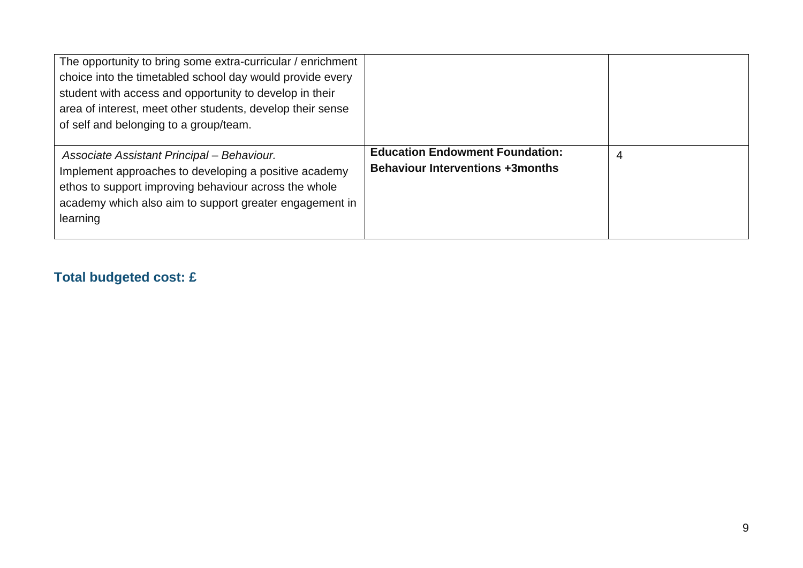| The opportunity to bring some extra-curricular / enrichment<br>choice into the timetabled school day would provide every<br>student with access and opportunity to develop in their<br>area of interest, meet other students, develop their sense<br>of self and belonging to a group/team. |                                                                                   |   |
|---------------------------------------------------------------------------------------------------------------------------------------------------------------------------------------------------------------------------------------------------------------------------------------------|-----------------------------------------------------------------------------------|---|
| Associate Assistant Principal - Behaviour.<br>Implement approaches to developing a positive academy<br>ethos to support improving behaviour across the whole<br>academy which also aim to support greater engagement in<br>learning                                                         | <b>Education Endowment Foundation:</b><br><b>Behaviour Interventions +3months</b> | 4 |

## **Total budgeted cost: £**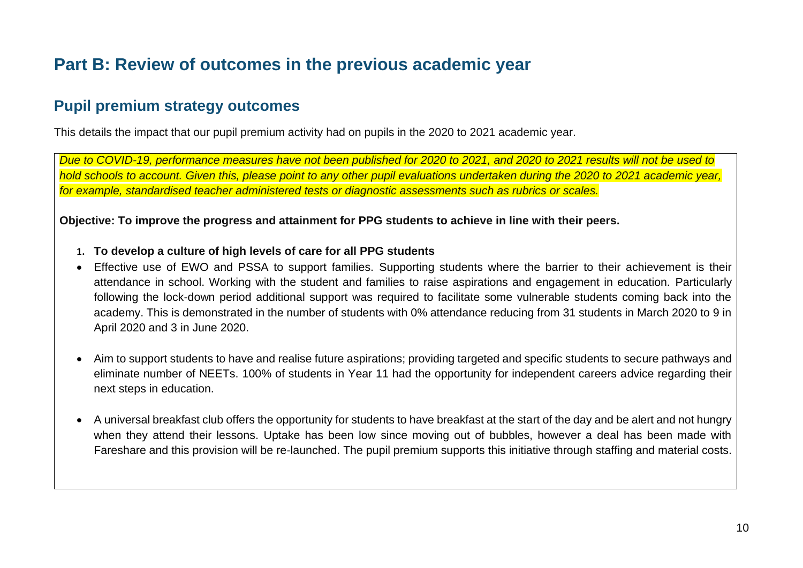# **Part B: Review of outcomes in the previous academic year**

## **Pupil premium strategy outcomes**

This details the impact that our pupil premium activity had on pupils in the 2020 to 2021 academic year.

*Due to COVID-19, performance measures have not been published for 2020 to 2021, and 2020 to 2021 results will not be used to hold schools to account. Given this, please point to any other pupil evaluations undertaken during the 2020 to 2021 academic year, for example, standardised teacher administered tests or diagnostic assessments such as rubrics or scales.*

**Objective: To improve the progress and attainment for PPG students to achieve in line with their peers.**

- **1. To develop a culture of high levels of care for all PPG students**
- Effective use of EWO and PSSA to support families. Supporting students where the barrier to their achievement is their attendance in school. Working with the student and families to raise aspirations and engagement in education. Particularly following the lock-down period additional support was required to facilitate some vulnerable students coming back into the academy. This is demonstrated in the number of students with 0% attendance reducing from 31 students in March 2020 to 9 in April 2020 and 3 in June 2020.
- Aim to support students to have and realise future aspirations; providing targeted and specific students to secure pathways and eliminate number of NEETs. 100% of students in Year 11 had the opportunity for independent careers advice regarding their next steps in education.
- A universal breakfast club offers the opportunity for students to have breakfast at the start of the day and be alert and not hungry when they attend their lessons. Uptake has been low since moving out of bubbles, however a deal has been made with Fareshare and this provision will be re-launched. The pupil premium supports this initiative through staffing and material costs.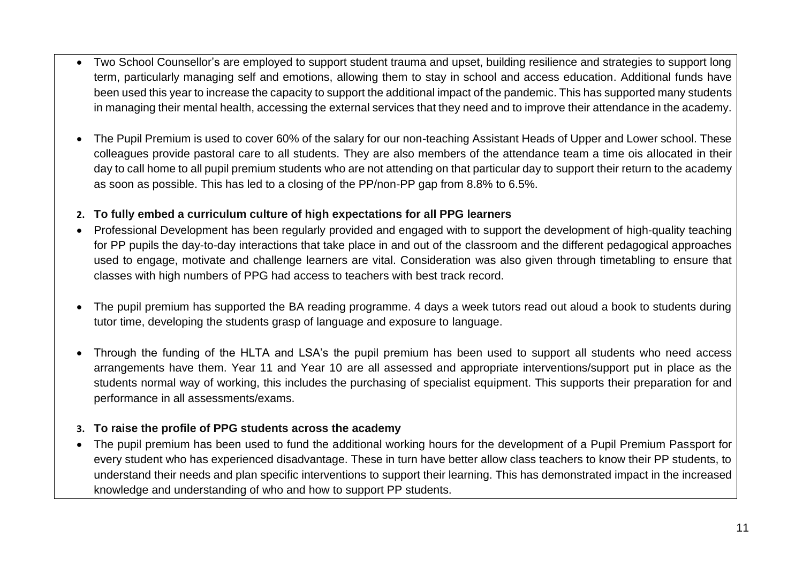- Two School Counsellor's are employed to support student trauma and upset, building resilience and strategies to support long term, particularly managing self and emotions, allowing them to stay in school and access education. Additional funds have been used this year to increase the capacity to support the additional impact of the pandemic. This has supported many students in managing their mental health, accessing the external services that they need and to improve their attendance in the academy.
- The Pupil Premium is used to cover 60% of the salary for our non-teaching Assistant Heads of Upper and Lower school. These colleagues provide pastoral care to all students. They are also members of the attendance team a time ois allocated in their day to call home to all pupil premium students who are not attending on that particular day to support their return to the academy as soon as possible. This has led to a closing of the PP/non-PP gap from 8.8% to 6.5%.

#### **2. To fully embed a curriculum culture of high expectations for all PPG learners**

- Professional Development has been regularly provided and engaged with to support the development of high-quality teaching for PP pupils the day-to-day interactions that take place in and out of the classroom and the different pedagogical approaches used to engage, motivate and challenge learners are vital. Consideration was also given through timetabling to ensure that classes with high numbers of PPG had access to teachers with best track record.
- The pupil premium has supported the BA reading programme. 4 days a week tutors read out aloud a book to students during tutor time, developing the students grasp of language and exposure to language.
- Through the funding of the HLTA and LSA's the pupil premium has been used to support all students who need access arrangements have them. Year 11 and Year 10 are all assessed and appropriate interventions/support put in place as the students normal way of working, this includes the purchasing of specialist equipment. This supports their preparation for and performance in all assessments/exams.

#### **3. To raise the profile of PPG students across the academy**

• The pupil premium has been used to fund the additional working hours for the development of a Pupil Premium Passport for every student who has experienced disadvantage. These in turn have better allow class teachers to know their PP students, to understand their needs and plan specific interventions to support their learning. This has demonstrated impact in the increased knowledge and understanding of who and how to support PP students.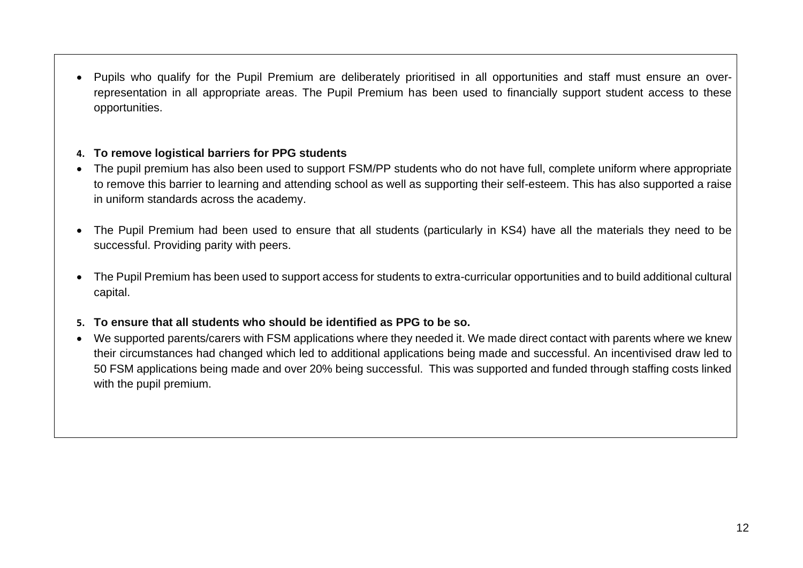• Pupils who qualify for the Pupil Premium are deliberately prioritised in all opportunities and staff must ensure an overrepresentation in all appropriate areas. The Pupil Premium has been used to financially support student access to these opportunities.

#### **4. To remove logistical barriers for PPG students**

- The pupil premium has also been used to support FSM/PP students who do not have full, complete uniform where appropriate to remove this barrier to learning and attending school as well as supporting their self-esteem. This has also supported a raise in uniform standards across the academy.
- The Pupil Premium had been used to ensure that all students (particularly in KS4) have all the materials they need to be successful. Providing parity with peers.
- The Pupil Premium has been used to support access for students to extra-curricular opportunities and to build additional cultural capital.
- **5. To ensure that all students who should be identified as PPG to be so.**
- We supported parents/carers with FSM applications where they needed it. We made direct contact with parents where we knew their circumstances had changed which led to additional applications being made and successful. An incentivised draw led to 50 FSM applications being made and over 20% being successful. This was supported and funded through staffing costs linked with the pupil premium.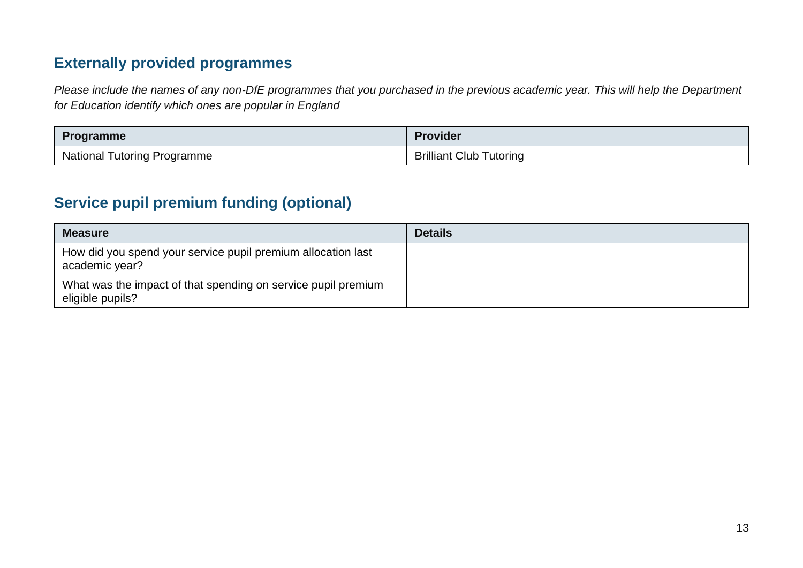## **Externally provided programmes**

*Please include the names of any non-DfE programmes that you purchased in the previous academic year. This will help the Department for Education identify which ones are popular in England*

| <b>Programme</b>                   | <b>Provider</b>                |
|------------------------------------|--------------------------------|
| <b>National Tutoring Programme</b> | <b>Brilliant Club Tutoring</b> |

## **Service pupil premium funding (optional)**

| <b>Measure</b>                                                                    | <b>Details</b> |
|-----------------------------------------------------------------------------------|----------------|
| How did you spend your service pupil premium allocation last<br>academic year?    |                |
| What was the impact of that spending on service pupil premium<br>eligible pupils? |                |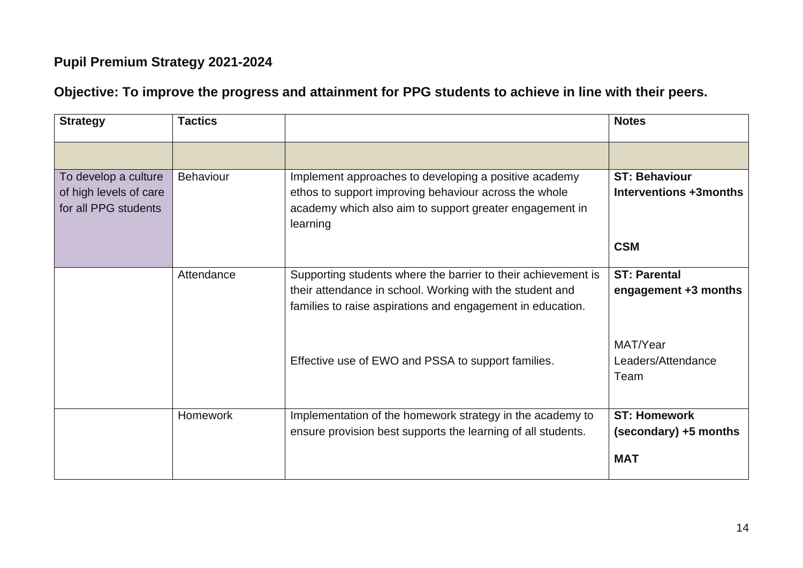## **Pupil Premium Strategy 2021-2024**

## **Objective: To improve the progress and attainment for PPG students to achieve in line with their peers.**

| <b>Strategy</b>                                                        | <b>Tactics</b>   |                                                                                                                                                                                         | <b>Notes</b>                                               |
|------------------------------------------------------------------------|------------------|-----------------------------------------------------------------------------------------------------------------------------------------------------------------------------------------|------------------------------------------------------------|
|                                                                        |                  |                                                                                                                                                                                         |                                                            |
| To develop a culture<br>of high levels of care<br>for all PPG students | <b>Behaviour</b> | Implement approaches to developing a positive academy<br>ethos to support improving behaviour across the whole<br>academy which also aim to support greater engagement in<br>learning   | <b>ST: Behaviour</b><br>Interventions +3months             |
|                                                                        |                  |                                                                                                                                                                                         | <b>CSM</b>                                                 |
|                                                                        | Attendance       | Supporting students where the barrier to their achievement is<br>their attendance in school. Working with the student and<br>families to raise aspirations and engagement in education. | <b>ST: Parental</b><br>engagement +3 months                |
|                                                                        |                  | Effective use of EWO and PSSA to support families.                                                                                                                                      | MAT/Year<br>Leaders/Attendance<br>Team                     |
|                                                                        | Homework         | Implementation of the homework strategy in the academy to<br>ensure provision best supports the learning of all students.                                                               | <b>ST: Homework</b><br>(secondary) +5 months<br><b>MAT</b> |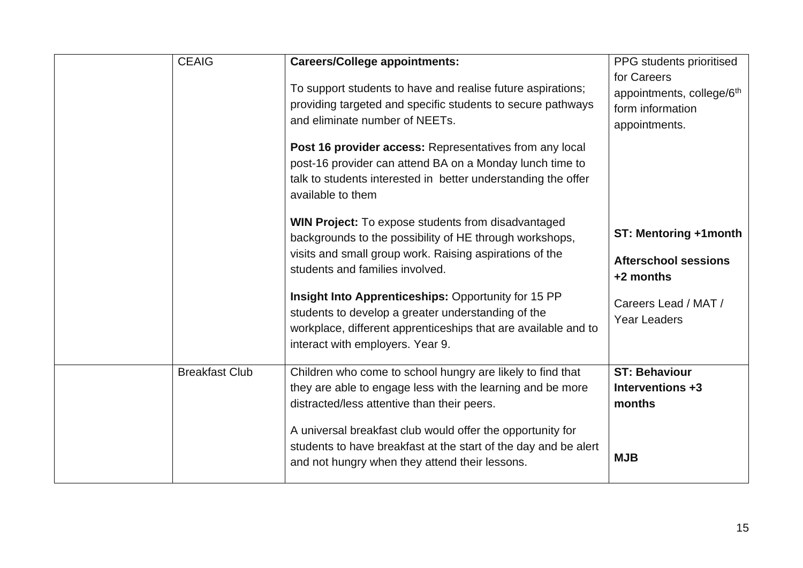| <b>CEAIG</b>          | <b>Careers/College appointments:</b><br>To support students to have and realise future aspirations;<br>providing targeted and specific students to secure pathways<br>and eliminate number of NEETs.               | PPG students prioritised<br>for Careers<br>appointments, college/6th<br>form information<br>appointments. |
|-----------------------|--------------------------------------------------------------------------------------------------------------------------------------------------------------------------------------------------------------------|-----------------------------------------------------------------------------------------------------------|
|                       | Post 16 provider access: Representatives from any local<br>post-16 provider can attend BA on a Monday lunch time to<br>talk to students interested in better understanding the offer<br>available to them          |                                                                                                           |
|                       | <b>WIN Project:</b> To expose students from disadvantaged<br>backgrounds to the possibility of HE through workshops,<br>visits and small group work. Raising aspirations of the<br>students and families involved. | ST: Mentoring +1month<br><b>Afterschool sessions</b><br>+2 months                                         |
|                       | Insight Into Apprenticeships: Opportunity for 15 PP<br>students to develop a greater understanding of the<br>workplace, different apprenticeships that are available and to<br>interact with employers. Year 9.    | Careers Lead / MAT /<br><b>Year Leaders</b>                                                               |
| <b>Breakfast Club</b> | Children who come to school hungry are likely to find that<br>they are able to engage less with the learning and be more<br>distracted/less attentive than their peers.                                            | <b>ST: Behaviour</b><br>Interventions +3<br>months                                                        |
|                       | A universal breakfast club would offer the opportunity for<br>students to have breakfast at the start of the day and be alert<br>and not hungry when they attend their lessons.                                    | <b>MJB</b>                                                                                                |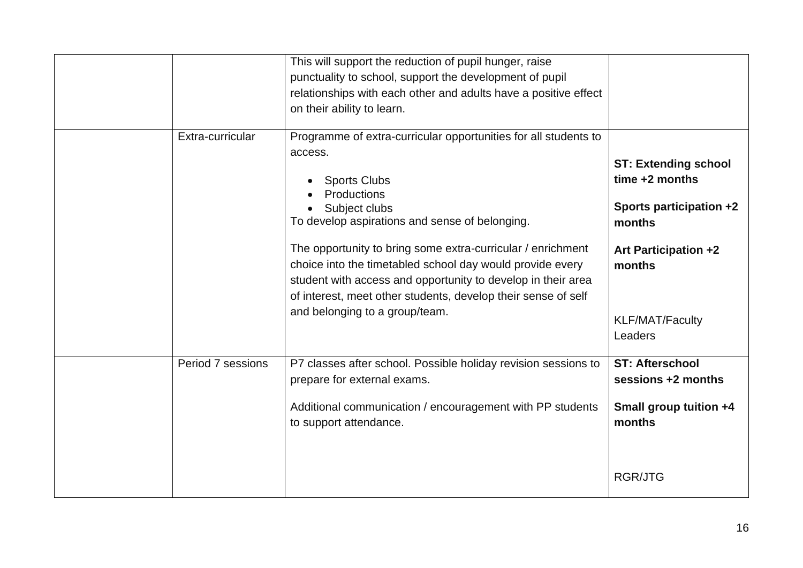|                   | This will support the reduction of pupil hunger, raise<br>punctuality to school, support the development of pupil<br>relationships with each other and adults have a positive effect<br>on their ability to learn.                                                                                              |                                                                                                                               |
|-------------------|-----------------------------------------------------------------------------------------------------------------------------------------------------------------------------------------------------------------------------------------------------------------------------------------------------------------|-------------------------------------------------------------------------------------------------------------------------------|
| Extra-curricular  | Programme of extra-curricular opportunities for all students to<br>access.<br><b>Sports Clubs</b><br>Productions<br>Subject clubs<br>To develop aspirations and sense of belonging.<br>The opportunity to bring some extra-curricular / enrichment<br>choice into the timetabled school day would provide every | <b>ST: Extending school</b><br>time $+2$ months<br>Sports participation +2<br>months<br><b>Art Participation +2</b><br>months |
|                   | student with access and opportunity to develop in their area<br>of interest, meet other students, develop their sense of self<br>and belonging to a group/team.                                                                                                                                                 | <b>KLF/MAT/Faculty</b><br>Leaders                                                                                             |
| Period 7 sessions | P7 classes after school. Possible holiday revision sessions to<br>prepare for external exams.<br>Additional communication / encouragement with PP students<br>to support attendance.                                                                                                                            | <b>ST: Afterschool</b><br>sessions +2 months<br>Small group tuition +4<br>months                                              |
|                   |                                                                                                                                                                                                                                                                                                                 | <b>RGR/JTG</b>                                                                                                                |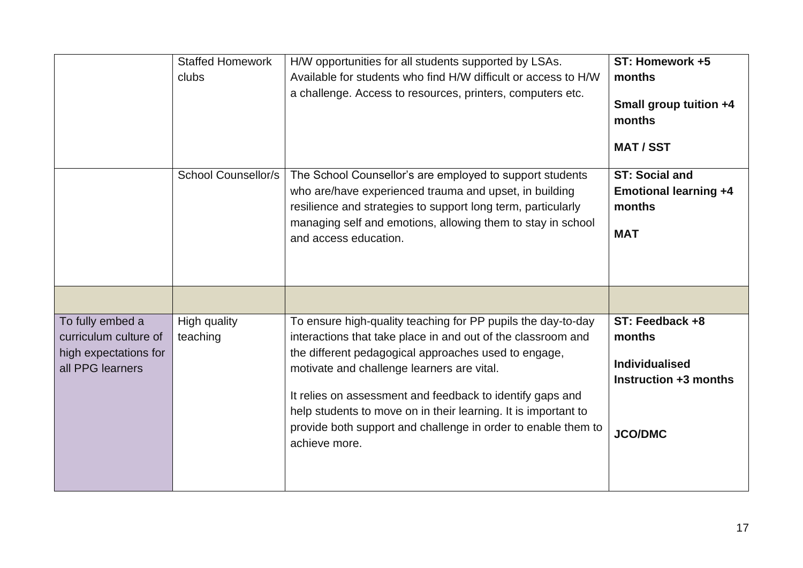|                                                                                        | <b>Staffed Homework</b><br>clubs | H/W opportunities for all students supported by LSAs.<br>Available for students who find H/W difficult or access to H/W<br>a challenge. Access to resources, printers, computers etc.                                                                                                                                                                                                                                                               | ST: Homework +5<br>months<br>Small group tuition +4<br>months<br><b>MAT/SST</b>               |
|----------------------------------------------------------------------------------------|----------------------------------|-----------------------------------------------------------------------------------------------------------------------------------------------------------------------------------------------------------------------------------------------------------------------------------------------------------------------------------------------------------------------------------------------------------------------------------------------------|-----------------------------------------------------------------------------------------------|
|                                                                                        | <b>School Counsellor/s</b>       | The School Counsellor's are employed to support students<br>who are/have experienced trauma and upset, in building<br>resilience and strategies to support long term, particularly<br>managing self and emotions, allowing them to stay in school<br>and access education.                                                                                                                                                                          | <b>ST: Social and</b><br><b>Emotional learning +4</b><br>months<br><b>MAT</b>                 |
|                                                                                        |                                  |                                                                                                                                                                                                                                                                                                                                                                                                                                                     |                                                                                               |
| To fully embed a<br>curriculum culture of<br>high expectations for<br>all PPG learners | High quality<br>teaching         | To ensure high-quality teaching for PP pupils the day-to-day<br>interactions that take place in and out of the classroom and<br>the different pedagogical approaches used to engage,<br>motivate and challenge learners are vital.<br>It relies on assessment and feedback to identify gaps and<br>help students to move on in their learning. It is important to<br>provide both support and challenge in order to enable them to<br>achieve more. | ST: Feedback +8<br>months<br><b>Individualised</b><br>Instruction +3 months<br><b>JCO/DMC</b> |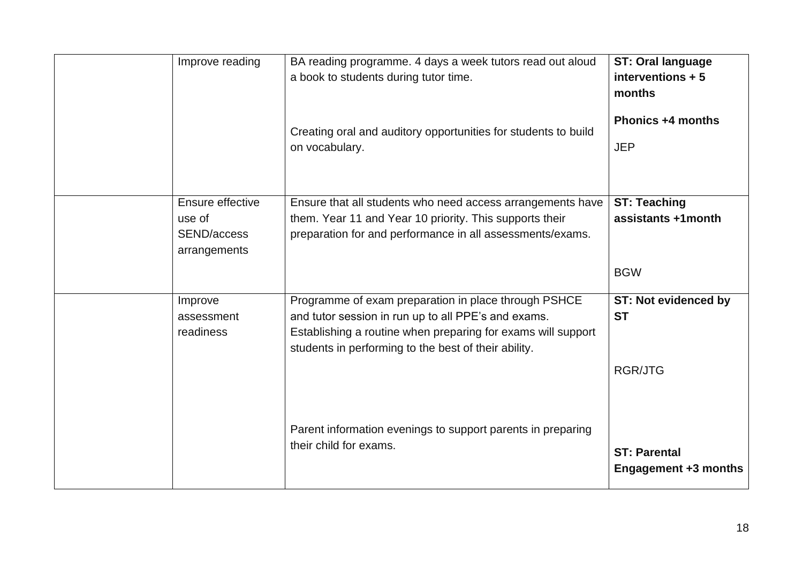| Improve reading                              | BA reading programme. 4 days a week tutors read out aloud<br>a book to students during tutor time.<br>Creating oral and auditory opportunities for students to build<br>on vocabulary.                                              | <b>ST: Oral language</b><br>interventions + 5<br>months<br><b>Phonics +4 months</b><br><b>JEP</b> |
|----------------------------------------------|-------------------------------------------------------------------------------------------------------------------------------------------------------------------------------------------------------------------------------------|---------------------------------------------------------------------------------------------------|
| Ensure effective                             | Ensure that all students who need access arrangements have                                                                                                                                                                          | <b>ST: Teaching</b>                                                                               |
| use of<br><b>SEND/access</b><br>arrangements | them. Year 11 and Year 10 priority. This supports their<br>preparation for and performance in all assessments/exams.                                                                                                                | assistants +1month                                                                                |
|                                              |                                                                                                                                                                                                                                     | <b>BGW</b>                                                                                        |
| Improve<br>assessment<br>readiness           | Programme of exam preparation in place through PSHCE<br>and tutor session in run up to all PPE's and exams.<br>Establishing a routine when preparing for exams will support<br>students in performing to the best of their ability. | <b>ST: Not evidenced by</b><br><b>ST</b>                                                          |
|                                              |                                                                                                                                                                                                                                     | <b>RGR/JTG</b>                                                                                    |
|                                              | Parent information evenings to support parents in preparing<br>their child for exams.                                                                                                                                               | <b>ST: Parental</b><br><b>Engagement +3 months</b>                                                |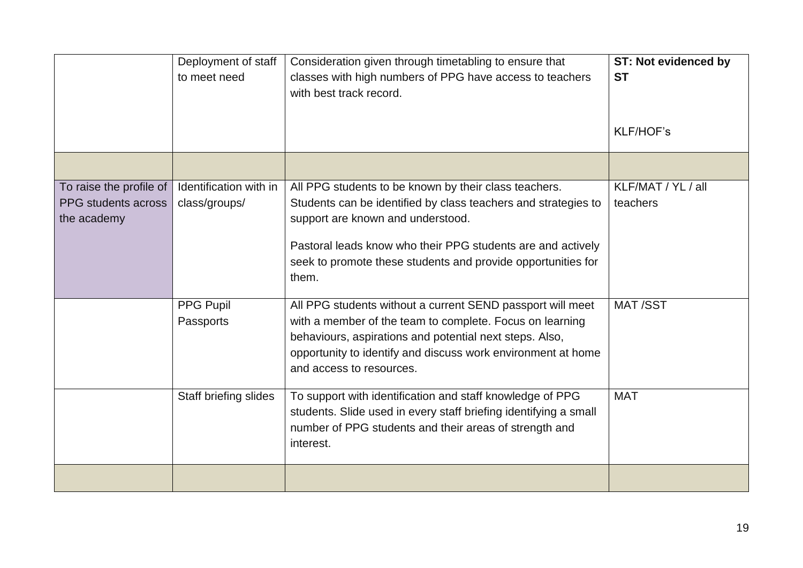|                                                               | Deployment of staff<br>to meet need     | Consideration given through timetabling to ensure that<br>classes with high numbers of PPG have access to teachers<br>with best track record.                                                                                                                                                        | <b>ST: Not evidenced by</b><br><b>ST</b><br><b>KLF/HOF's</b> |
|---------------------------------------------------------------|-----------------------------------------|------------------------------------------------------------------------------------------------------------------------------------------------------------------------------------------------------------------------------------------------------------------------------------------------------|--------------------------------------------------------------|
|                                                               |                                         |                                                                                                                                                                                                                                                                                                      |                                                              |
| To raise the profile of<br>PPG students across<br>the academy | Identification with in<br>class/groups/ | All PPG students to be known by their class teachers.<br>Students can be identified by class teachers and strategies to<br>support are known and understood.<br>Pastoral leads know who their PPG students are and actively<br>seek to promote these students and provide opportunities for<br>them. | KLF/MAT / YL / all<br>teachers                               |
|                                                               | PPG Pupil<br>Passports                  | All PPG students without a current SEND passport will meet<br>with a member of the team to complete. Focus on learning<br>behaviours, aspirations and potential next steps. Also,<br>opportunity to identify and discuss work environment at home<br>and access to resources.                        | <b>MAT/SST</b>                                               |
|                                                               | Staff briefing slides                   | To support with identification and staff knowledge of PPG<br>students. Slide used in every staff briefing identifying a small<br>number of PPG students and their areas of strength and<br>interest.                                                                                                 | <b>MAT</b>                                                   |
|                                                               |                                         |                                                                                                                                                                                                                                                                                                      |                                                              |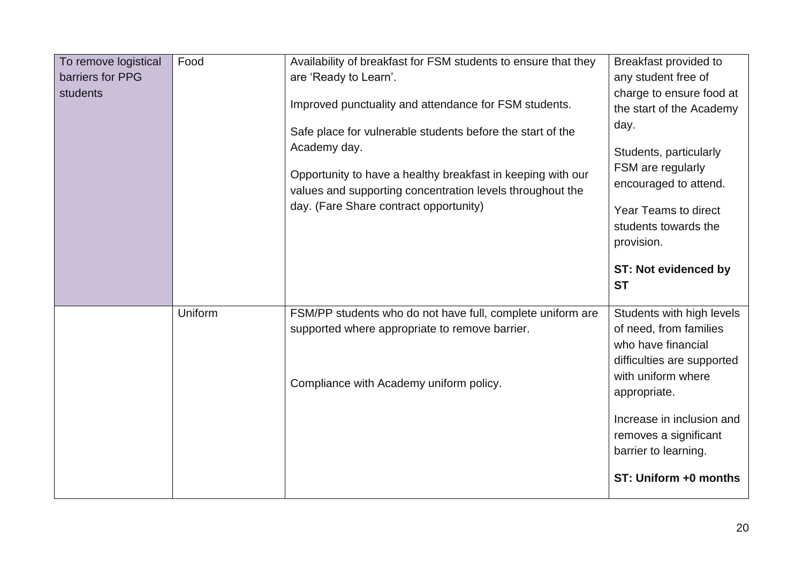| To remove logistical<br>barriers for PPG<br>students | Food    | Availability of breakfast for FSM students to ensure that they<br>are 'Ready to Learn'.<br>Improved punctuality and attendance for FSM students.<br>Safe place for vulnerable students before the start of the<br>Academy day.<br>Opportunity to have a healthy breakfast in keeping with our<br>values and supporting concentration levels throughout the<br>day. (Fare Share contract opportunity) | Breakfast provided to<br>any student free of<br>charge to ensure food at<br>the start of the Academy<br>day.<br>Students, particularly<br>FSM are regularly<br>encouraged to attend.<br><b>Year Teams to direct</b><br>students towards the<br>provision.<br><b>ST: Not evidenced by</b><br><b>ST</b> |
|------------------------------------------------------|---------|------------------------------------------------------------------------------------------------------------------------------------------------------------------------------------------------------------------------------------------------------------------------------------------------------------------------------------------------------------------------------------------------------|-------------------------------------------------------------------------------------------------------------------------------------------------------------------------------------------------------------------------------------------------------------------------------------------------------|
|                                                      | Uniform | FSM/PP students who do not have full, complete uniform are<br>supported where appropriate to remove barrier.<br>Compliance with Academy uniform policy.                                                                                                                                                                                                                                              | Students with high levels<br>of need, from families<br>who have financial<br>difficulties are supported<br>with uniform where<br>appropriate.<br>Increase in inclusion and<br>removes a significant<br>barrier to learning.<br>ST: Uniform +0 months                                                  |